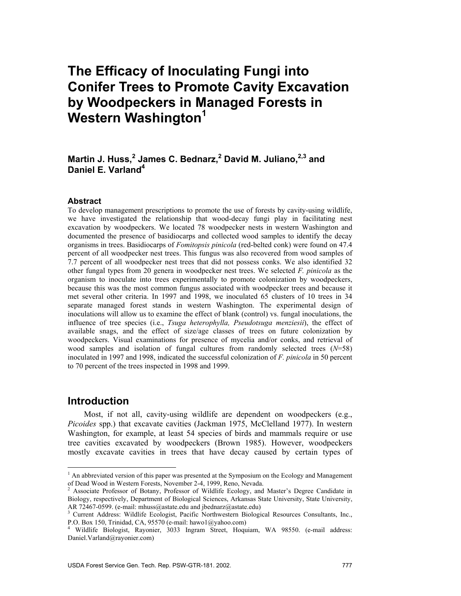# **The Efficacy of Inoculating Fungi into Conifer Trees to Promote Cavity Excavation by Woodpeckers in Managed Forests in Western Washington<sup>1</sup>**

## Martin J. Huss,<sup>2</sup> James C. Bednarz,<sup>2</sup> David M. Juliano,<sup>2,3</sup> and **Daniel E. Varland4**

#### **Abstract**

To develop management prescriptions to promote the use of forests by cavity-using wildlife, we have investigated the relationship that wood-decay fungi play in facilitating nest excavation by woodpeckers. We located 78 woodpecker nests in western Washington and documented the presence of basidiocarps and collected wood samples to identify the decay organisms in trees. Basidiocarps of *Fomitopsis pinicola* (red-belted conk) were found on 47.4 percent of all woodpecker nest trees. This fungus was also recovered from wood samples of 7.7 percent of all woodpecker nest trees that did not possess conks. We also identified 32 other fungal types from 20 genera in woodpecker nest trees. We selected *F. pinicola* as the organism to inoculate into trees experimentally to promote colonization by woodpeckers, because this was the most common fungus associated with woodpecker trees and because it met several other criteria. In 1997 and 1998, we inoculated 65 clusters of 10 trees in 34 separate managed forest stands in western Washington. The experimental design of inoculations will allow us to examine the effect of blank (control) vs. fungal inoculations, the influence of tree species (i.e., *Tsuga heterophylla, Pseudotsuga menziesii*), the effect of available snags, and the effect of size/age classes of trees on future colonization by woodpeckers. Visual examinations for presence of mycelia and/or conks, and retrieval of wood samples and isolation of fungal cultures from randomly selected trees (*N*=58) inoculated in 1997 and 1998, indicated the successful colonization of *F. pinicola* in 50 percent to 70 percent of the trees inspected in 1998 and 1999.

## **Introduction**

 $\overline{a}$ 

Most, if not all, cavity-using wildlife are dependent on woodpeckers (e.g., *Picoides* spp.) that excavate cavities (Jackman 1975, McClelland 1977). In western Washington, for example, at least 54 species of birds and mammals require or use tree cavities excavated by woodpeckers (Brown 1985). However, woodpeckers mostly excavate cavities in trees that have decay caused by certain types of

<sup>&</sup>lt;sup>1</sup> An abbreviated version of this paper was presented at the Symposium on the Ecology and Management of Dead Wood in Western Forests, November 2-4, 1999, Reno, Nevada.<br><sup>2</sup> Associate Professor of Botany, Professor of Wildlife Ecology, and Master's Degree Candidate in

Biology, respectively, Department of Biological Sciences, Arkansas State University, State University,

AR 72467-0599. (e-mail: mhuss@astate.edu and jbednarz@astate.edu)<br><sup>3</sup> Current Address: Wildlife Ecologist, Pacific Northwestern Biological Resources Consultants, Inc., P.O. Box 150, Trinidad, CA, 95570 (e-mail: hawo1@yahoo.com)

<sup>4</sup> Wildlife Biologist, Rayonier, 3033 Ingram Street, Hoquiam, WA 98550. (e-mail address: Daniel.Varland@rayonier.com)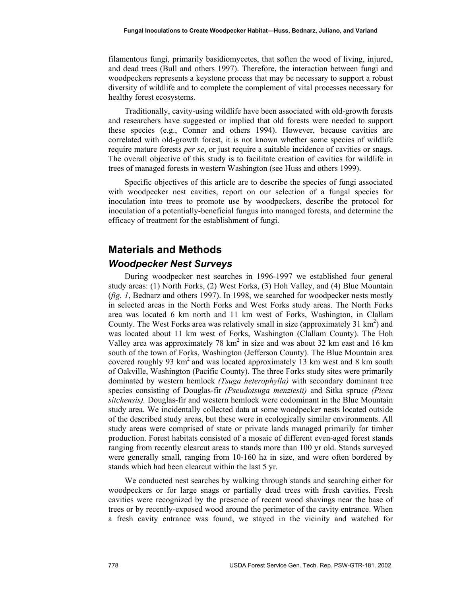filamentous fungi, primarily basidiomycetes, that soften the wood of living, injured, and dead trees (Bull and others 1997). Therefore, the interaction between fungi and woodpeckers represents a keystone process that may be necessary to support a robust diversity of wildlife and to complete the complement of vital processes necessary for healthy forest ecosystems.

Traditionally, cavity-using wildlife have been associated with old-growth forests and researchers have suggested or implied that old forests were needed to support these species (e.g., Conner and others 1994). However, because cavities are correlated with old-growth forest, it is not known whether some species of wildlife require mature forests *per se*, or just require a suitable incidence of cavities or snags. The overall objective of this study is to facilitate creation of cavities for wildlife in trees of managed forests in western Washington (see Huss and others 1999).

Specific objectives of this article are to describe the species of fungi associated with woodpecker nest cavities, report on our selection of a fungal species for inoculation into trees to promote use by woodpeckers, describe the protocol for inoculation of a potentially-beneficial fungus into managed forests, and determine the efficacy of treatment for the establishment of fungi.

## **Materials and Methods**  *Woodpecker Nest Surveys*

During woodpecker nest searches in 1996-1997 we established four general study areas: (1) North Forks, (2) West Forks, (3) Hoh Valley, and (4) Blue Mountain (*fig. 1*, Bednarz and others 1997). In 1998, we searched for woodpecker nests mostly in selected areas in the North Forks and West Forks study areas. The North Forks area was located 6 km north and 11 km west of Forks, Washington, in Clallam County. The West Forks area was relatively small in size (approximately  $31 \text{ km}^2$ ) and was located about 11 km west of Forks, Washington (Clallam County). The Hoh Valley area was approximately 78  $km^2$  in size and was about 32 km east and 16 km south of the town of Forks, Washington (Jefferson County). The Blue Mountain area covered roughly 93  $km^2$  and was located approximately 13 km west and 8 km south of Oakville, Washington (Pacific County). The three Forks study sites were primarily dominated by western hemlock *(Tsuga heterophylla)* with secondary dominant tree species consisting of Douglas-fir *(Pseudotsuga menziesii)* and Sitka spruce *(Picea sitchensis).* Douglas-fir and western hemlock were codominant in the Blue Mountain study area. We incidentally collected data at some woodpecker nests located outside of the described study areas, but these were in ecologically similar environments. All study areas were comprised of state or private lands managed primarily for timber production. Forest habitats consisted of a mosaic of different even-aged forest stands ranging from recently clearcut areas to stands more than 100 yr old. Stands surveyed were generally small, ranging from 10-160 ha in size, and were often bordered by stands which had been clearcut within the last 5 yr.

We conducted nest searches by walking through stands and searching either for woodpeckers or for large snags or partially dead trees with fresh cavities. Fresh cavities were recognized by the presence of recent wood shavings near the base of trees or by recently-exposed wood around the perimeter of the cavity entrance. When a fresh cavity entrance was found, we stayed in the vicinity and watched for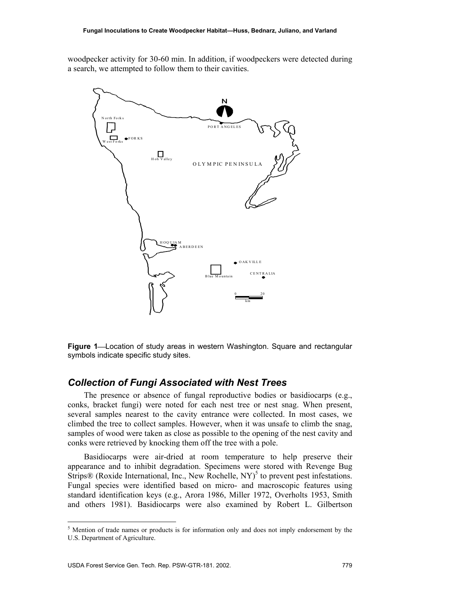woodpecker activity for 30-60 min. In addition, if woodpeckers were detected during a search, we attempted to follow them to their cavities.



**Figure 1—Location of study areas in western Washington. Square and rectangular** symbols indicate specific study sites.

#### *Collection of Fungi Associated with Nest Trees*

The presence or absence of fungal reproductive bodies or basidiocarps (e.g., conks, bracket fungi) were noted for each nest tree or nest snag. When present, several samples nearest to the cavity entrance were collected. In most cases, we climbed the tree to collect samples. However, when it was unsafe to climb the snag, samples of wood were taken as close as possible to the opening of the nest cavity and conks were retrieved by knocking them off the tree with a pole.

Basidiocarps were air-dried at room temperature to help preserve their appearance and to inhibit degradation. Specimens were stored with Revenge Bug Strips $\mathcal{R}$  (Roxide International, Inc., New Rochelle, NY)<sup>5</sup> to prevent pest infestations. Fungal species were identified based on micro- and macroscopic features using standard identification keys (e.g., Arora 1986, Miller 1972, Overholts 1953, Smith and others 1981). Basidiocarps were also examined by Robert L. Gilbertson

<sup>&</sup>lt;sup>5</sup> Mention of trade names or products is for information only and does not imply endorsement by the U.S. Department of Agriculture.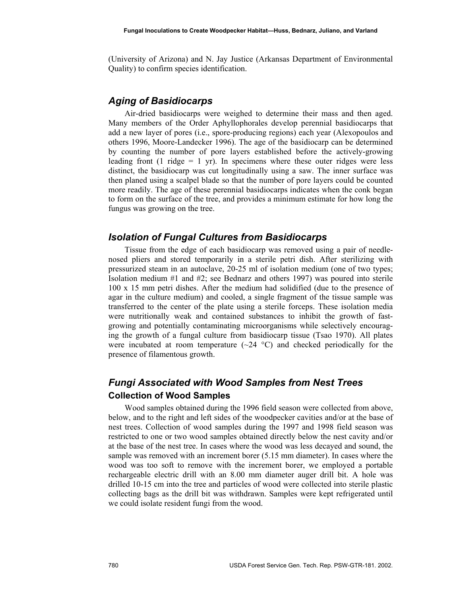(University of Arizona) and N. Jay Justice (Arkansas Department of Environmental Quality) to confirm species identification.

## *Aging of Basidiocarps*

Air-dried basidiocarps were weighed to determine their mass and then aged. Many members of the Order Aphyllophorales develop perennial basidiocarps that add a new layer of pores (i.e., spore-producing regions) each year (Alexopoulos and others 1996, Moore-Landecker 1996). The age of the basidiocarp can be determined by counting the number of pore layers established before the actively-growing leading front (1 ridge  $= 1$  yr). In specimens where these outer ridges were less distinct, the basidiocarp was cut longitudinally using a saw. The inner surface was then planed using a scalpel blade so that the number of pore layers could be counted more readily. The age of these perennial basidiocarps indicates when the conk began to form on the surface of the tree, and provides a minimum estimate for how long the fungus was growing on the tree.

#### *Isolation of Fungal Cultures from Basidiocarps*

Tissue from the edge of each basidiocarp was removed using a pair of needlenosed pliers and stored temporarily in a sterile petri dish. After sterilizing with pressurized steam in an autoclave, 20-25 ml of isolation medium (one of two types; Isolation medium #1 and #2; see Bednarz and others 1997) was poured into sterile 100 x 15 mm petri dishes. After the medium had solidified (due to the presence of agar in the culture medium) and cooled, a single fragment of the tissue sample was transferred to the center of the plate using a sterile forceps. These isolation media were nutritionally weak and contained substances to inhibit the growth of fastgrowing and potentially contaminating microorganisms while selectively encouraging the growth of a fungal culture from basidiocarp tissue (Tsao 1970). All plates were incubated at room temperature  $(\sim 24 \text{ °C})$  and checked periodically for the presence of filamentous growth.

## *Fungi Associated with Wood Samples from Nest Trees*  **Collection of Wood Samples**

Wood samples obtained during the 1996 field season were collected from above, below, and to the right and left sides of the woodpecker cavities and/or at the base of nest trees. Collection of wood samples during the 1997 and 1998 field season was restricted to one or two wood samples obtained directly below the nest cavity and/or at the base of the nest tree. In cases where the wood was less decayed and sound, the sample was removed with an increment borer (5.15 mm diameter). In cases where the wood was too soft to remove with the increment borer, we employed a portable rechargeable electric drill with an 8.00 mm diameter auger drill bit. A hole was drilled 10-15 cm into the tree and particles of wood were collected into sterile plastic collecting bags as the drill bit was withdrawn. Samples were kept refrigerated until we could isolate resident fungi from the wood.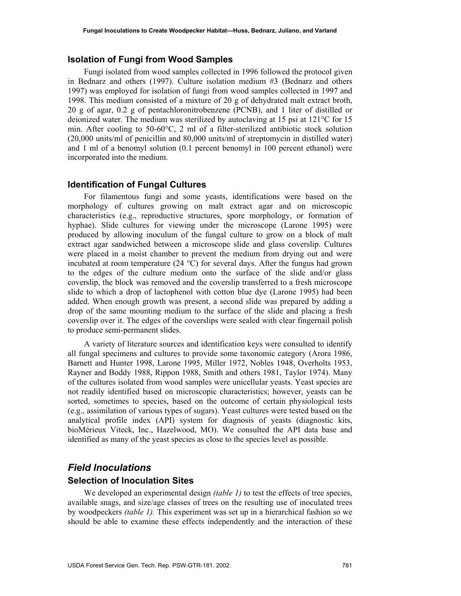#### **Isolation of Fungi from Wood Samples**

Fungi isolated from wood samples collected in 1996 followed the protocol given in Bednarz and others (1997). Culture isolation medium #3 (Bednarz and others 1997) was employed for isolation of fungi from wood samples collected in 1997 and 1998. This medium consisted of a mixture of 20 g of dehydrated malt extract broth, 20 g of agar, 0.2 g of pentachloronitrobenzene (PCNB), and 1 liter of distilled or deionized water. The medium was sterilized by autoclaving at 15 psi at 121°C for 15 min. After cooling to  $50\n-60^\circ$ C, 2 ml of a filter-sterilized antibiotic stock solution (20,000 units/ml of penicillin and 80,000 units/ml of streptomycin in distilled water) and 1 ml of a benomyl solution (0.1 percent benomyl in 100 percent ethanol) were incorporated into the medium.

#### **Identification of Fungal Cultures**

For filamentous fungi and some yeasts, identifications were based on the morphology of cultures growing on malt extract agar and on microscopic characteristics (e.g., reproductive structures, spore morphology, or formation of hyphae). Slide cultures for viewing under the microscope (Larone 1995) were produced by allowing inoculum of the fungal culture to grow on a block of malt extract agar sandwiched between a microscope slide and glass coverslip. Cultures were placed in a moist chamber to prevent the medium from drying out and were incubated at room temperature  $(24 \text{ °C})$  for several days. After the fungus had grown to the edges of the culture medium onto the surface of the slide and/or glass coverslip, the block was removed and the coverslip transferred to a fresh microscope slide to which a drop of lactophenol with cotton blue dye (Larone 1995) had been added. When enough growth was present, a second slide was prepared by adding a drop of the same mounting medium to the surface of the slide and placing a fresh coverslip over it. The edges of the coverslips were sealed with clear fingernail polish to produce semi-permanent slides.

A variety of literature sources and identification keys were consulted to identify all fungal specimens and cultures to provide some taxonomic category (Arora 1986, Barnett and Hunter 1998, Larone 1995, Miller 1972, Nobles 1948, Overholts 1953, Rayner and Boddy 1988, Rippon 1988, Smith and others 1981, Taylor 1974). Many of the cultures isolated from wood samples were unicellular yeasts. Yeast species are not readily identified based on microscopic characteristics; however, yeasts can be sorted, sometimes to species, based on the outcome of certain physiological tests (e.g., assimilation of various types of sugars). Yeast cultures were tested based on the analytical profile index (API) system for diagnosis of yeasts (diagnostic kits, bioMérieux Viteck, Inc., Hazelwood, MO). We consulted the API data base and identified as many of the yeast species as close to the species level as possible.

#### *Field Inoculations*

#### **Selection of Inoculation Sites**

We developed an experimental design *(table 1)* to test the effects of tree species, available snags, and size/age classes of trees on the resulting use of inoculated trees by woodpeckers *(table 1).* This experiment was set up in a hierarchical fashion so we should be able to examine these effects independently and the interaction of these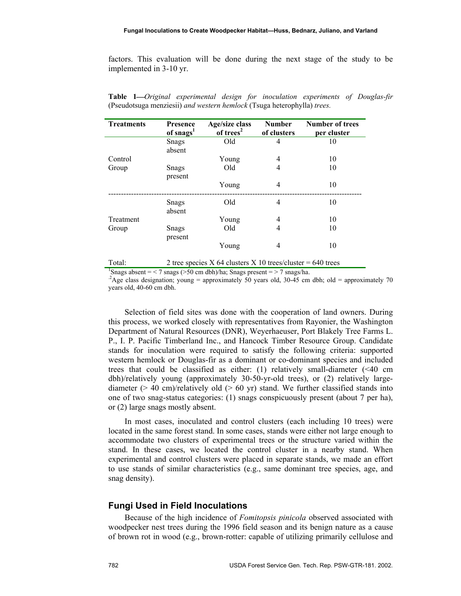factors. This evaluation will be done during the next stage of the study to be implemented in 3-10 yr.

| <b>Treatments</b> | <b>Presence</b>        | Age/size class                                              | <b>Number</b> | <b>Number of trees</b> |  |
|-------------------|------------------------|-------------------------------------------------------------|---------------|------------------------|--|
|                   | of snags <sup>1</sup>  | of trees <sup>2</sup>                                       | of clusters   | per cluster            |  |
|                   | <b>Snags</b><br>absent | Old                                                         | 4             | 10                     |  |
| Control           |                        | Young                                                       | 4             | 10                     |  |
| Group             | Snags<br>present       | Old                                                         | 4             | 10                     |  |
|                   |                        | Young                                                       | 4             | 10                     |  |
|                   | Snags<br>absent        | Old                                                         | 4             | 10                     |  |
| Treatment         |                        | Young                                                       | 4             | 10                     |  |
| Group             | Snags<br>present       | Old                                                         | 4             | 10                     |  |
|                   |                        | Young                                                       | 4             | 10                     |  |
| Total:            |                        | 2 tree species X 64 clusters X 10 trees/cluster = 640 trees |               |                        |  |

**Table 1***Original experimental design for inoculation experiments of Douglas-fir*  (Pseudotsuga menziesii) *and western hemlock* (Tsuga heterophylla) *trees.* 

<sup>1</sup>Snags absent = < 7 snags (> 50 cm dbh)/ha; Snags present = > 7 snags/ha.

<sup>2</sup>Age class designation; young = approximately 50 years old, 30-45 cm dbh; old = approximately 70 years old, 40-60 cm dbh.

Selection of field sites was done with the cooperation of land owners. During this process, we worked closely with representatives from Rayonier, the Washington Department of Natural Resources (DNR), Weyerhaeuser, Port Blakely Tree Farms L. P., I. P. Pacific Timberland Inc., and Hancock Timber Resource Group. Candidate stands for inoculation were required to satisfy the following criteria: supported western hemlock or Douglas-fir as a dominant or co-dominant species and included trees that could be classified as either: (1) relatively small-diameter (<40 cm dbh)/relatively young (approximately 30-50-yr-old trees), or (2) relatively largediameter  $(> 40 \text{ cm})$ /relatively old  $(> 60 \text{ yr})$  stand. We further classified stands into one of two snag-status categories: (1) snags conspicuously present (about 7 per ha), or (2) large snags mostly absent.

In most cases, inoculated and control clusters (each including 10 trees) were located in the same forest stand. In some cases, stands were either not large enough to accommodate two clusters of experimental trees or the structure varied within the stand. In these cases, we located the control cluster in a nearby stand. When experimental and control clusters were placed in separate stands, we made an effort to use stands of similar characteristics (e.g., same dominant tree species, age, and snag density).

#### **Fungi Used in Field Inoculations**

Because of the high incidence of *Fomitopsis pinicola* observed associated with woodpecker nest trees during the 1996 field season and its benign nature as a cause of brown rot in wood (e.g., brown-rotter: capable of utilizing primarily cellulose and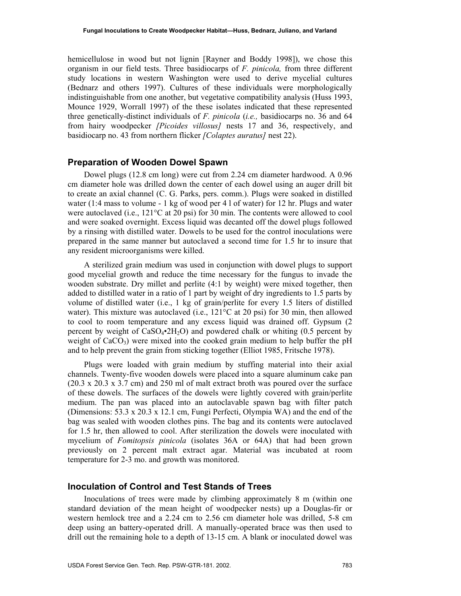hemicellulose in wood but not lignin [Rayner and Boddy 1998]), we chose this organism in our field tests. Three basidiocarps of *F. pinicola,* from three different study locations in western Washington were used to derive mycelial cultures (Bednarz and others 1997). Cultures of these individuals were morphologically indistinguishable from one another, but vegetative compatibility analysis (Huss 1993, Mounce 1929, Worrall 1997) of the these isolates indicated that these represented three genetically-distinct individuals of *F. pinicola* (*i.e.,* basidiocarps no. 36 and 64 from hairy woodpecker *[Picoides villosus]* nests 17 and 36, respectively, and basidiocarp no. 43 from northern flicker *[Colaptes auratus]* nest 22).

#### **Preparation of Wooden Dowel Spawn**

Dowel plugs (12.8 cm long) were cut from 2.24 cm diameter hardwood. A 0.96 cm diameter hole was drilled down the center of each dowel using an auger drill bit to create an axial channel (C. G. Parks, pers. comm.). Plugs were soaked in distilled water (1:4 mass to volume - 1 kg of wood per 4 l of water) for 12 hr. Plugs and water were autoclaved (i.e., 121°C at 20 psi) for 30 min. The contents were allowed to cool and were soaked overnight. Excess liquid was decanted off the dowel plugs followed by a rinsing with distilled water. Dowels to be used for the control inoculations were prepared in the same manner but autoclaved a second time for 1.5 hr to insure that any resident microorganisms were killed.

A sterilized grain medium was used in conjunction with dowel plugs to support good mycelial growth and reduce the time necessary for the fungus to invade the wooden substrate. Dry millet and perlite (4:1 by weight) were mixed together, then added to distilled water in a ratio of 1 part by weight of dry ingredients to 1.5 parts by volume of distilled water (i.e., 1 kg of grain/perlite for every 1.5 liters of distilled water). This mixture was autoclaved (i.e.,  $121^{\circ}$ C at 20 psi) for 30 min, then allowed to cool to room temperature and any excess liquid was drained off. Gypsum (2 percent by weight of  $CaSO_4\text{-}2H_2O$ ) and powdered chalk or whiting (0.5 percent by weight of  $CaCO<sub>3</sub>$ ) were mixed into the cooked grain medium to help buffer the pH and to help prevent the grain from sticking together (Elliot 1985, Fritsche 1978).

Plugs were loaded with grain medium by stuffing material into their axial channels. Twenty-five wooden dowels were placed into a square aluminum cake pan (20.3 x 20.3 x 3.7 cm) and 250 ml of malt extract broth was poured over the surface of these dowels. The surfaces of the dowels were lightly covered with grain/perlite medium. The pan was placed into an autoclavable spawn bag with filter patch (Dimensions: 53.3 x 20.3 x 12.1 cm, Fungi Perfecti, Olympia WA) and the end of the bag was sealed with wooden clothes pins. The bag and its contents were autoclaved for 1.5 hr, then allowed to cool. After sterilization the dowels were inoculated with mycelium of *Fomitopsis pinicola* (isolates 36A or 64A) that had been grown previously on 2 percent malt extract agar. Material was incubated at room temperature for 2-3 mo. and growth was monitored.

## **Inoculation of Control and Test Stands of Trees**

Inoculations of trees were made by climbing approximately 8 m (within one standard deviation of the mean height of woodpecker nests) up a Douglas-fir or western hemlock tree and a 2.24 cm to 2.56 cm diameter hole was drilled, 5-8 cm deep using an battery-operated drill. A manually-operated brace was then used to drill out the remaining hole to a depth of 13-15 cm. A blank or inoculated dowel was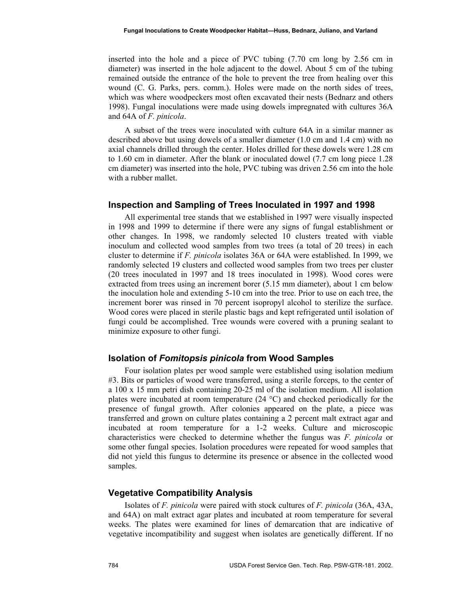inserted into the hole and a piece of PVC tubing (7.70 cm long by 2.56 cm in diameter) was inserted in the hole adjacent to the dowel. About 5 cm of the tubing remained outside the entrance of the hole to prevent the tree from healing over this wound (C. G. Parks, pers. comm.). Holes were made on the north sides of trees, which was where woodpeckers most often excavated their nests (Bednarz and others 1998). Fungal inoculations were made using dowels impregnated with cultures 36A and 64A of *F. pinicola*.

A subset of the trees were inoculated with culture 64A in a similar manner as described above but using dowels of a smaller diameter (1.0 cm and 1.4 cm) with no axial channels drilled through the center. Holes drilled for these dowels were 1.28 cm to 1.60 cm in diameter. After the blank or inoculated dowel (7.7 cm long piece 1.28 cm diameter) was inserted into the hole, PVC tubing was driven 2.56 cm into the hole with a rubber mallet.

#### **Inspection and Sampling of Trees Inoculated in 1997 and 1998**

All experimental tree stands that we established in 1997 were visually inspected in 1998 and 1999 to determine if there were any signs of fungal establishment or other changes. In 1998, we randomly selected 10 clusters treated with viable inoculum and collected wood samples from two trees (a total of 20 trees) in each cluster to determine if *F. pinicola* isolates 36A or 64A were established. In 1999, we randomly selected 19 clusters and collected wood samples from two trees per cluster (20 trees inoculated in 1997 and 18 trees inoculated in 1998). Wood cores were extracted from trees using an increment borer (5.15 mm diameter), about 1 cm below the inoculation hole and extending 5-10 cm into the tree. Prior to use on each tree, the increment borer was rinsed in 70 percent isopropyl alcohol to sterilize the surface. Wood cores were placed in sterile plastic bags and kept refrigerated until isolation of fungi could be accomplished. Tree wounds were covered with a pruning sealant to minimize exposure to other fungi.

#### **Isolation of** *Fomitopsis pinicola* **from Wood Samples**

Four isolation plates per wood sample were established using isolation medium #3. Bits or particles of wood were transferred, using a sterile forceps, to the center of a 100 x 15 mm petri dish containing 20-25 ml of the isolation medium. All isolation plates were incubated at room temperature  $(24 \degree C)$  and checked periodically for the presence of fungal growth. After colonies appeared on the plate, a piece was transferred and grown on culture plates containing a 2 percent malt extract agar and incubated at room temperature for a 1-2 weeks. Culture and microscopic characteristics were checked to determine whether the fungus was *F. pinicola* or some other fungal species. Isolation procedures were repeated for wood samples that did not yield this fungus to determine its presence or absence in the collected wood samples.

#### **Vegetative Compatibility Analysis**

Isolates of *F. pinicola* were paired with stock cultures of *F. pinicola* (36A, 43A, and 64A) on malt extract agar plates and incubated at room temperature for several weeks. The plates were examined for lines of demarcation that are indicative of vegetative incompatibility and suggest when isolates are genetically different. If no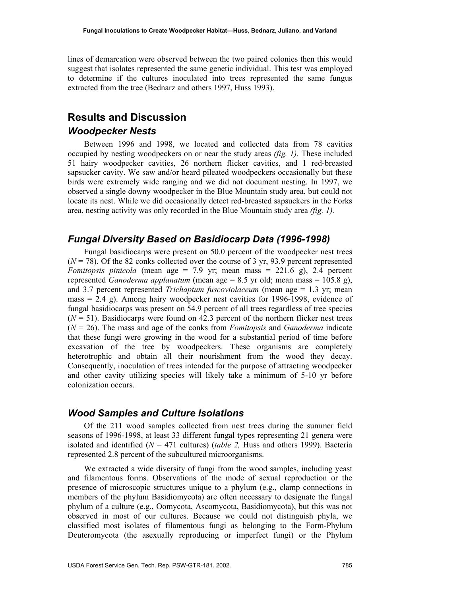lines of demarcation were observed between the two paired colonies then this would suggest that isolates represented the same genetic individual. This test was employed to determine if the cultures inoculated into trees represented the same fungus extracted from the tree (Bednarz and others 1997, Huss 1993).

## **Results and Discussion**

#### *Woodpecker Nests*

Between 1996 and 1998, we located and collected data from 78 cavities occupied by nesting woodpeckers on or near the study areas *(fig. 1).* These included 51 hairy woodpecker cavities, 26 northern flicker cavities, and 1 red-breasted sapsucker cavity. We saw and/or heard pileated woodpeckers occasionally but these birds were extremely wide ranging and we did not document nesting. In 1997, we observed a single downy woodpecker in the Blue Mountain study area, but could not locate its nest. While we did occasionally detect red-breasted sapsuckers in the Forks area, nesting activity was only recorded in the Blue Mountain study area *(fig. 1).*

#### *Fungal Diversity Based on Basidiocarp Data (1996-1998)*

Fungal basidiocarps were present on 50.0 percent of the woodpecker nest trees  $(N = 78)$ . Of the 82 conks collected over the course of 3 yr, 93.9 percent represented *Fomitopsis pinicola* (mean age = 7.9 yr; mean mass =  $221.6$  g), 2.4 percent represented *Ganoderma applanatum* (mean age = 8.5 yr old; mean mass = 105.8 g), and 3.7 percent represented *Trichaptum fuscoviolaceum* (mean age = 1.3 yr; mean mass  $= 2.4$  g). Among hairy woodpecker nest cavities for 1996-1998, evidence of fungal basidiocarps was present on 54.9 percent of all trees regardless of tree species  $(N = 51)$ . Basidiocarps were found on 42.3 percent of the northern flicker nest trees (*N* = 26). The mass and age of the conks from *Fomitopsis* and *Ganoderma* indicate that these fungi were growing in the wood for a substantial period of time before excavation of the tree by woodpeckers. These organisms are completely heterotrophic and obtain all their nourishment from the wood they decay. Consequently, inoculation of trees intended for the purpose of attracting woodpecker and other cavity utilizing species will likely take a minimum of 5-10 yr before colonization occurs.

#### *Wood Samples and Culture Isolations*

Of the 211 wood samples collected from nest trees during the summer field seasons of 1996-1998, at least 33 different fungal types representing 21 genera were isolated and identified  $(N = 471$  cultures) *(table 2, Huss and others 1999)*. Bacteria represented 2.8 percent of the subcultured microorganisms.

We extracted a wide diversity of fungi from the wood samples, including yeast and filamentous forms. Observations of the mode of sexual reproduction or the presence of microscopic structures unique to a phylum (e.g., clamp connections in members of the phylum Basidiomycota) are often necessary to designate the fungal phylum of a culture (e.g., Oomycota, Ascomycota, Basidiomycota), but this was not observed in most of our cultures. Because we could not distinguish phyla, we classified most isolates of filamentous fungi as belonging to the Form-Phylum Deuteromycota (the asexually reproducing or imperfect fungi) or the Phylum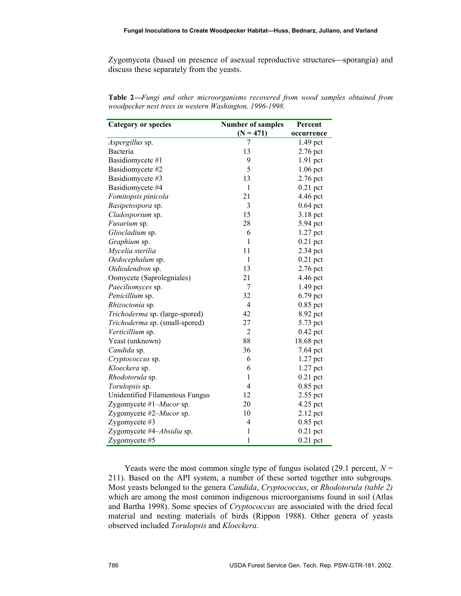Zygomycota (based on presence of asexual reproductive structures—sporangia) and discuss these separately from the yeasts.

| <b>Category or species</b>      | <b>Number of samples</b> | Percent    |  |
|---------------------------------|--------------------------|------------|--|
|                                 | $(N = 471)$              | occurrence |  |
| Aspergillus sp.                 | 7                        | 1.49 pct   |  |
| Bacteria                        | 13                       | 2.76 pct   |  |
| Basidiomycete #1                | 9                        | $1.91$ pct |  |
| Basidiomycete #2                | 5                        | $1.06$ pct |  |
| Basidiomycete #3                | 13                       | 2.76 pct   |  |
| Basidiomycete #4                | $\mathbf{1}$             | $0.21$ pct |  |
| Fomitopsis pinicola             | 21                       | 4.46 pct   |  |
| Basipetospora sp.               | 3                        | $0.64$ pct |  |
| Cladosporium sp.                | 15                       | 3.18 pct   |  |
| Fusarium sp.                    | 28                       | 5.94 pct   |  |
| Gliocladium sp.                 | 6                        | 1.27 pct   |  |
| Graphium sp.                    | $\mathbf{1}$             | $0.21$ pct |  |
| Mycelia sterilia                | 11                       | 2.34 pct   |  |
| Oedocephalum sp.                | 1                        | $0.21$ pct |  |
| Oidiodendron sp.                | 13                       | 2.76 pct   |  |
| Oomycete (Saprolegniales)       | 21                       | 4.46 pct   |  |
| Paeciliomyces sp.               | 7                        | 1.49 pct   |  |
| Penicillium sp.                 | 32                       | 6.79 pct   |  |
| Rhizoctonia sp.                 | $\overline{4}$           | 0.85 pct   |  |
| Trichoderma sp. (large-spored)  | 42                       | 8.92 pct   |  |
| Trichoderma sp. (small-spored)  | 27                       | 5.73 pct   |  |
| Verticillium sp.                | $\overline{2}$           | $0.42$ pct |  |
| Yeast (unknown)                 | 88                       | 18.68 pct  |  |
| Candida sp.                     | 36                       | 7.64 pct   |  |
| Cryptococcus sp.                | 6                        | 1.27 pct   |  |
| Kloeckera sp.                   | 6                        | $1.27$ pct |  |
| Rhodotorula sp.                 | 1                        | $0.21$ pct |  |
| Torulopsis sp.                  | 4                        | $0.85$ pct |  |
| Unidentified Filamentous Fungus | 12                       | 2.55 pct   |  |
| Zygomycete #1– <i>Mucor</i> sp. | 20                       | 4.25 pct   |  |
| Zygomycete #2-Mucor sp.         | 10                       | 2.12 pct   |  |
| Zygomycete #3                   | $\overline{4}$           | $0.85$ pct |  |
| Zygomycete #4-Absidia sp.       | $\mathbf{1}$             | $0.21$ pct |  |
| Zygomycete #5                   | $\mathbf{1}$             | $0.21$ pct |  |

**Table 2***Fungi and other microorganisms recovered from wood samples obtained from woodpecker nest trees in western Washington, 1996-1998.* 

Yeasts were the most common single type of fungus isolated  $(29.1 \text{ percent}, N =$ 211). Based on the API system, a number of these sorted together into subgroups. Most yeasts belonged to the genera *Candida*, *Cryptococcus*, or *Rhodotorula (table 2)* which are among the most common indigenous microorganisms found in soil (Atlas and Bartha 1998). Some species of *Cryptococcus* are associated with the dried fecal material and nesting materials of birds (Rippon 1988). Other genera of yeasts observed included *Torulopsis* and *Kloeckera*.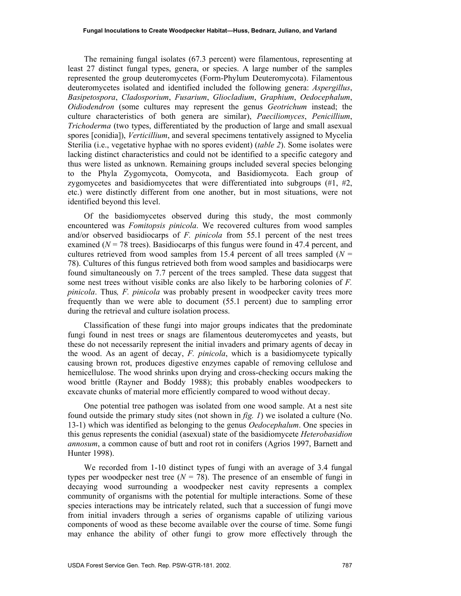The remaining fungal isolates (67.3 percent) were filamentous, representing at least 27 distinct fungal types, genera, or species. A large number of the samples represented the group deuteromycetes (Form-Phylum Deuteromycota). Filamentous deuteromycetes isolated and identified included the following genera: *Aspergillus*, *Basipetospora*, *Cladosporium*, *Fusarium*, *Gliocladium*, *Graphium*, *Oedocephalum*, *Oidiodendron* (some cultures may represent the genus *Geotrichum* instead; the culture characteristics of both genera are similar), *Paeciliomyces*, *Penicillium*, *Trichoderma* (two types, differentiated by the production of large and small asexual spores [conidia]), *Verticillium*, and several specimens tentatively assigned to Mycelia Sterilia (i.e., vegetative hyphae with no spores evident) (*table 2*). Some isolates were lacking distinct characteristics and could not be identified to a specific category and thus were listed as unknown. Remaining groups included several species belonging to the Phyla Zygomycota, Oomycota, and Basidiomycota. Each group of zygomycetes and basidiomycetes that were differentiated into subgroups  $(\#1, \#2, \#3)$ etc.) were distinctly different from one another, but in most situations, were not identified beyond this level.

Of the basidiomycetes observed during this study, the most commonly encountered was *Fomitopsis pinicola*. We recovered cultures from wood samples and/or observed basidiocarps of *F. pinicola* from 55.1 percent of the nest trees examined ( $N = 78$  trees). Basidiocarps of this fungus were found in 47.4 percent, and cultures retrieved from wood samples from 15.4 percent of all trees sampled  $(N =$ 78). Cultures of this fungus retrieved both from wood samples and basidiocarps were found simultaneously on 7.7 percent of the trees sampled. These data suggest that some nest trees without visible conks are also likely to be harboring colonies of *F. pinicola*. Thus*, F. pinicola* was probably present in woodpecker cavity trees more frequently than we were able to document (55.1 percent) due to sampling error during the retrieval and culture isolation process.

Classification of these fungi into major groups indicates that the predominate fungi found in nest trees or snags are filamentous deuteromycetes and yeasts, but these do not necessarily represent the initial invaders and primary agents of decay in the wood. As an agent of decay, *F. pinicola*, which is a basidiomycete typically causing brown rot, produces digestive enzymes capable of removing cellulose and hemicellulose. The wood shrinks upon drying and cross-checking occurs making the wood brittle (Rayner and Boddy 1988); this probably enables woodpeckers to excavate chunks of material more efficiently compared to wood without decay.

One potential tree pathogen was isolated from one wood sample. At a nest site found outside the primary study sites (not shown in *fig. 1*) we isolated a culture (No. 13-1) which was identified as belonging to the genus *Oedocephalum*. One species in this genus represents the conidial (asexual) state of the basidiomycete *Heterobasidion annosum*, a common cause of butt and root rot in conifers (Agrios 1997, Barnett and Hunter 1998).

We recorded from 1-10 distinct types of fungi with an average of 3.4 fungal types per woodpecker nest tree  $(N = 78)$ . The presence of an ensemble of fungi in decaying wood surrounding a woodpecker nest cavity represents a complex community of organisms with the potential for multiple interactions. Some of these species interactions may be intricately related, such that a succession of fungi move from initial invaders through a series of organisms capable of utilizing various components of wood as these become available over the course of time. Some fungi may enhance the ability of other fungi to grow more effectively through the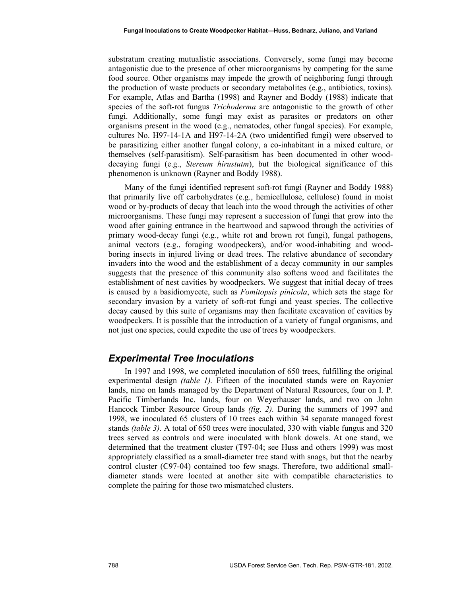substratum creating mutualistic associations. Conversely, some fungi may become antagonistic due to the presence of other microorganisms by competing for the same food source. Other organisms may impede the growth of neighboring fungi through the production of waste products or secondary metabolites (e.g., antibiotics, toxins). For example, Atlas and Bartha (1998) and Rayner and Boddy (1988) indicate that species of the soft-rot fungus *Trichoderma* are antagonistic to the growth of other fungi. Additionally, some fungi may exist as parasites or predators on other organisms present in the wood (e.g., nematodes, other fungal species). For example, cultures No. H97-14-1A and H97-14-2A (two unidentified fungi) were observed to be parasitizing either another fungal colony, a co-inhabitant in a mixed culture, or themselves (self-parasitism). Self-parasitism has been documented in other wooddecaying fungi (e.g., *Stereum hirustutm*), but the biological significance of this phenomenon is unknown (Rayner and Boddy 1988).

Many of the fungi identified represent soft-rot fungi (Rayner and Boddy 1988) that primarily live off carbohydrates (e.g., hemicellulose, cellulose) found in moist wood or by-products of decay that leach into the wood through the activities of other microorganisms. These fungi may represent a succession of fungi that grow into the wood after gaining entrance in the heartwood and sapwood through the activities of primary wood-decay fungi (e.g., white rot and brown rot fungi), fungal pathogens, animal vectors (e.g., foraging woodpeckers), and/or wood-inhabiting and woodboring insects in injured living or dead trees. The relative abundance of secondary invaders into the wood and the establishment of a decay community in our samples suggests that the presence of this community also softens wood and facilitates the establishment of nest cavities by woodpeckers. We suggest that initial decay of trees is caused by a basidiomycete, such as *Fomitopsis pinicola*, which sets the stage for secondary invasion by a variety of soft-rot fungi and yeast species. The collective decay caused by this suite of organisms may then facilitate excavation of cavities by woodpeckers. It is possible that the introduction of a variety of fungal organisms, and not just one species, could expedite the use of trees by woodpeckers.

## *Experimental Tree Inoculations*

In 1997 and 1998, we completed inoculation of 650 trees, fulfilling the original experimental design *(table 1).* Fifteen of the inoculated stands were on Rayonier lands, nine on lands managed by the Department of Natural Resources, four on I. P. Pacific Timberlands Inc. lands, four on Weyerhauser lands, and two on John Hancock Timber Resource Group lands *(fig. 2).* During the summers of 1997 and 1998, we inoculated 65 clusters of 10 trees each within 34 separate managed forest stands *(table 3).* A total of 650 trees were inoculated, 330 with viable fungus and 320 trees served as controls and were inoculated with blank dowels. At one stand, we determined that the treatment cluster (T97-04; see Huss and others 1999) was most appropriately classified as a small-diameter tree stand with snags, but that the nearby control cluster (C97-04) contained too few snags. Therefore, two additional smalldiameter stands were located at another site with compatible characteristics to complete the pairing for those two mismatched clusters.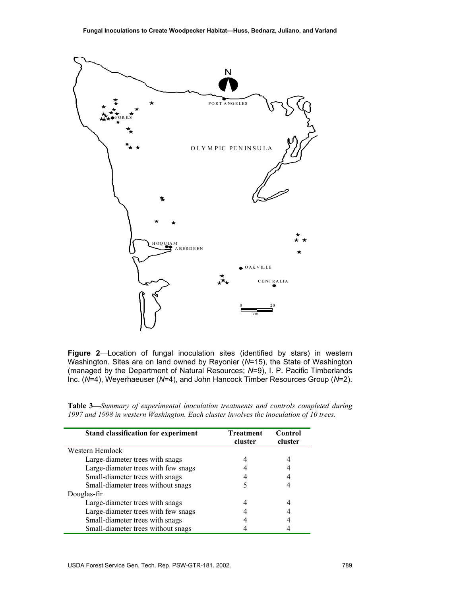

**Figure 2**Location of fungal inoculation sites (identified by stars) in western Washington. Sites are on land owned by Rayonier (*N*=15), the State of Washington (managed by the Department of Natural Resources; *N*=9), I. P. Pacific Timberlands Inc. (*N*=4), Weyerhaeuser (*N*=4), and John Hancock Timber Resources Group (*N*=2).

| <b>Table 3—Summary of experimental inoculation treatments and controls completed during</b> |  |
|---------------------------------------------------------------------------------------------|--|
| 1997 and 1998 in western Washington. Each cluster involves the inoculation of 10 trees.     |  |

| <b>Stand classification for experiment</b> | <b>Treatment</b><br>cluster | Control<br>cluster |
|--------------------------------------------|-----------------------------|--------------------|
| Western Hemlock                            |                             |                    |
| Large-diameter trees with snags            |                             |                    |
| Large-diameter trees with few snags        |                             |                    |
| Small-diameter trees with snags            |                             |                    |
| Small-diameter trees without snags         |                             |                    |
| Douglas-fir                                |                             |                    |
| Large-diameter trees with snags            |                             |                    |
| Large-diameter trees with few snags        |                             |                    |
| Small-diameter trees with snags            |                             |                    |
| Small-diameter trees without snags         |                             |                    |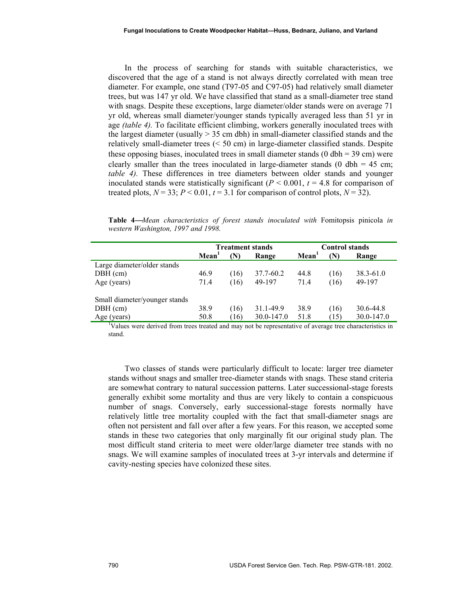In the process of searching for stands with suitable characteristics, we discovered that the age of a stand is not always directly correlated with mean tree diameter. For example, one stand (T97-05 and C97-05) had relatively small diameter trees, but was 147 yr old. We have classified that stand as a small-diameter tree stand with snags. Despite these exceptions, large diameter/older stands were on average 71 yr old, whereas small diameter/younger stands typically averaged less than 51 yr in age *(table 4).* To facilitate efficient climbing, workers generally inoculated trees with the largest diameter (usually  $> 35$  cm dbh) in small-diameter classified stands and the relatively small-diameter trees (< 50 cm) in large-diameter classified stands. Despite these opposing biases, inoculated trees in small diameter stands  $(0 \text{ dbh} = 39 \text{ cm})$  were clearly smaller than the trees inoculated in large-diameter stands (0 dbh =  $45 \text{ cm}$ ; *table 4)*. These differences in tree diameters between older stands and younger inoculated stands were statistically significant ( $P < 0.001$ ,  $t = 4.8$  for comparison of treated plots,  $N = 33$ ;  $P < 0.01$ ,  $t = 3.1$  for comparison of control plots,  $N = 32$ ).

**Table 4***Mean characteristics of forest stands inoculated with* Fomitopsis pinicola *in western Washington, 1997 and 1998.* 

|                                                                                                         | <b>Treatment stands</b> |      | <b>Control stands</b> |                   |      |               |
|---------------------------------------------------------------------------------------------------------|-------------------------|------|-----------------------|-------------------|------|---------------|
|                                                                                                         | Mean <sup>1</sup>       | (N)  | Range                 | Mean <sup>1</sup> | N)   | Range         |
| Large diameter/older stands                                                                             |                         |      |                       |                   |      |               |
| $DBH$ (cm)                                                                                              | 46.9                    | (16) | 37.7-60.2             | 44.8              | (16) | $38.3 - 61.0$ |
| Age (years)                                                                                             | 71.4                    | (16) | 49-197                | 71.4              | (16) | 49-197        |
| Small diameter/younger stands                                                                           |                         |      |                       |                   |      |               |
| $DBH$ (cm)                                                                                              | 38.9                    | (16) | 31.1-49.9             | 38.9              | (16) | 30.6-44.8     |
| Age (years)                                                                                             | 50.8                    | (16) | 30.0-147.0            | 51.8              | (15) | 30.0-147.0    |
| Values were derived from trees treated and may not be representative of average tree characteristics in |                         |      |                       |                   |      |               |

stand.

Two classes of stands were particularly difficult to locate: larger tree diameter stands without snags and smaller tree-diameter stands with snags. These stand criteria are somewhat contrary to natural succession patterns. Later successional-stage forests generally exhibit some mortality and thus are very likely to contain a conspicuous number of snags. Conversely, early successional-stage forests normally have relatively little tree mortality coupled with the fact that small-diameter snags are often not persistent and fall over after a few years. For this reason, we accepted some stands in these two categories that only marginally fit our original study plan. The most difficult stand criteria to meet were older/large diameter tree stands with no snags. We will examine samples of inoculated trees at 3-yr intervals and determine if cavity-nesting species have colonized these sites.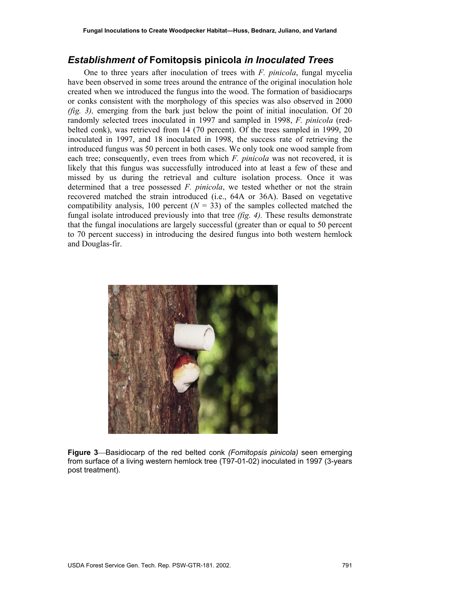## *Establishment of* **Fomitopsis pinicola** *in Inoculated Trees*

One to three years after inoculation of trees with *F. pinicola*, fungal mycelia have been observed in some trees around the entrance of the original inoculation hole created when we introduced the fungus into the wood. The formation of basidiocarps or conks consistent with the morphology of this species was also observed in 2000 *(fig. 3),* emerging from the bark just below the point of initial inoculation. Of 20 randomly selected trees inoculated in 1997 and sampled in 1998, *F. pinicola* (redbelted conk), was retrieved from 14 (70 percent). Of the trees sampled in 1999, 20 inoculated in 1997, and 18 inoculated in 1998, the success rate of retrieving the introduced fungus was 50 percent in both cases. We only took one wood sample from each tree; consequently, even trees from which *F. pinicola* was not recovered, it is likely that this fungus was successfully introduced into at least a few of these and missed by us during the retrieval and culture isolation process. Once it was determined that a tree possessed *F. pinicola*, we tested whether or not the strain recovered matched the strain introduced (i.e., 64A or 36A). Based on vegetative compatibility analysis, 100 percent  $(N = 33)$  of the samples collected matched the fungal isolate introduced previously into that tree *(fig. 4).* These results demonstrate that the fungal inoculations are largely successful (greater than or equal to 50 percent to 70 percent success) in introducing the desired fungus into both western hemlock and Douglas-fir.



**Figure 3**Basidiocarp of the red belted conk *(Fomitopsis pinicola)* seen emerging from surface of a living western hemlock tree (T97-01-02) inoculated in 1997 (3-years post treatment).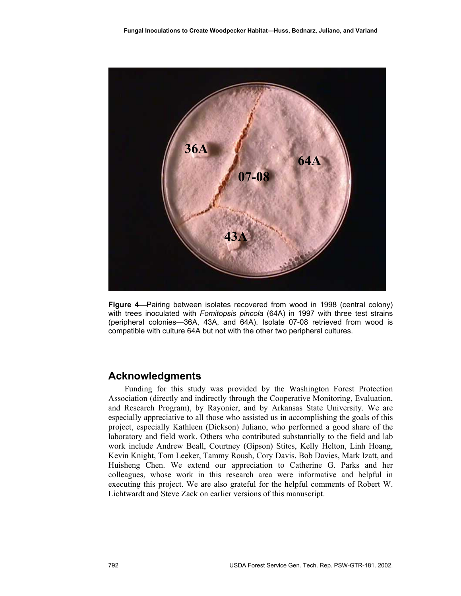

**Figure 4**—Pairing between isolates recovered from wood in 1998 (central colony) with trees inoculated with *Fomitopsis pincola* (64A) in 1997 with three test strains (peripheral colonies—36A, 43A, and 64A). Isolate 07-08 retrieved from wood is compatible with culture 64A but not with the other two peripheral cultures.

## **Acknowledgments**

Funding for this study was provided by the Washington Forest Protection Association (directly and indirectly through the Cooperative Monitoring, Evaluation, and Research Program), by Rayonier, and by Arkansas State University. We are especially appreciative to all those who assisted us in accomplishing the goals of this project, especially Kathleen (Dickson) Juliano, who performed a good share of the laboratory and field work. Others who contributed substantially to the field and lab work include Andrew Beall, Courtney (Gipson) Stites, Kelly Helton, Linh Hoang, Kevin Knight, Tom Leeker, Tammy Roush, Cory Davis, Bob Davies, Mark Izatt, and Huisheng Chen. We extend our appreciation to Catherine G. Parks and her colleagues, whose work in this research area were informative and helpful in executing this project. We are also grateful for the helpful comments of Robert W. Lichtwardt and Steve Zack on earlier versions of this manuscript.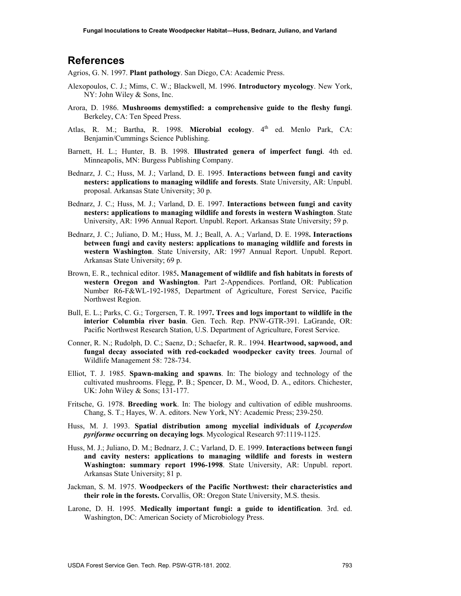## **References**

Agrios, G. N. 1997. **Plant pathology**. San Diego, CA: Academic Press.

- Alexopoulos, C. J.; Mims, C. W.; Blackwell, M. 1996. **Introductory mycology**. New York, NY: John Wiley & Sons, Inc.
- Arora, D. 1986. **Mushrooms demystified: a comprehensive guide to the fleshy fungi**. Berkeley, CA: Ten Speed Press.
- Atlas, R. M.; Bartha, R. 1998. **Microbial ecology**. 4th ed. Menlo Park, CA: Benjamin/Cummings Science Publishing.
- Barnett, H. L.; Hunter, B. B. 1998. **Illustrated genera of imperfect fungi**. 4th ed. Minneapolis, MN: Burgess Publishing Company.
- Bednarz, J. C.; Huss, M. J.; Varland, D. E. 1995. **Interactions between fungi and cavity nesters: applications to managing wildlife and forests**. State University, AR: Unpubl. proposal. Arkansas State University; 30 p.
- Bednarz, J. C.; Huss, M. J.; Varland, D. E. 1997. **Interactions between fungi and cavity nesters: applications to managing wildlife and forests in western Washington**. State University, AR: 1996 Annual Report. Unpubl. Report. Arkansas State University; 59 p.
- Bednarz, J. C.; Juliano, D. M.; Huss, M. J.; Beall, A. A.; Varland, D. E. 1998**. Interactions between fungi and cavity nesters: applications to managing wildlife and forests in western Washington**. State University, AR: 1997 Annual Report. Unpubl. Report. Arkansas State University; 69 p.
- Brown, E. R., technical editor. 1985**. Management of wildlife and fish habitats in forests of western Oregon and Washington**. Part 2-Appendices. Portland, OR: Publication Number R6-F&WL-192-1985, Department of Agriculture, Forest Service, Pacific Northwest Region.
- Bull, E. L.; Parks, C. G.; Torgersen, T. R. 1997**. Trees and logs important to wildlife in the interior Columbia river basin**. Gen. Tech. Rep. PNW-GTR-391. LaGrande, OR: Pacific Northwest Research Station, U.S. Department of Agriculture, Forest Service.
- Conner, R. N.; Rudolph, D. C.; Saenz, D.; Schaefer, R. R.. 1994. **Heartwood, sapwood, and fungal decay associated with red-cockaded woodpecker cavity trees**. Journal of Wildlife Management 58: 728-734.
- Elliot, T. J. 1985. **Spawn-making and spawns**. In: The biology and technology of the cultivated mushrooms. Flegg, P. B.; Spencer, D. M., Wood, D. A., editors. Chichester, UK: John Wiley & Sons; 131-177.
- Fritsche, G. 1978. **Breeding work**. In: The biology and cultivation of edible mushrooms. Chang, S. T.; Hayes, W. A. editors. New York, NY: Academic Press; 239-250.
- Huss, M. J. 1993. **Spatial distribution among mycelial individuals of** *Lycoperdon pyriforme* **occurring on decaying logs**. Mycological Research 97:1119-1125.
- Huss, M. J.; Juliano, D. M.; Bednarz, J. C.; Varland, D. E. 1999. **Interactions between fungi and cavity nesters: applications to managing wildlife and forests in western Washington: summary report 1996-1998**. State University, AR: Unpubl. report. Arkansas State University; 81 p.
- Jackman, S. M. 1975. **Woodpeckers of the Pacific Northwest: their characteristics and their role in the forests.** Corvallis, OR: Oregon State University, M.S. thesis.
- Larone, D. H. 1995. **Medically important fungi: a guide to identification**. 3rd. ed. Washington, DC: American Society of Microbiology Press.